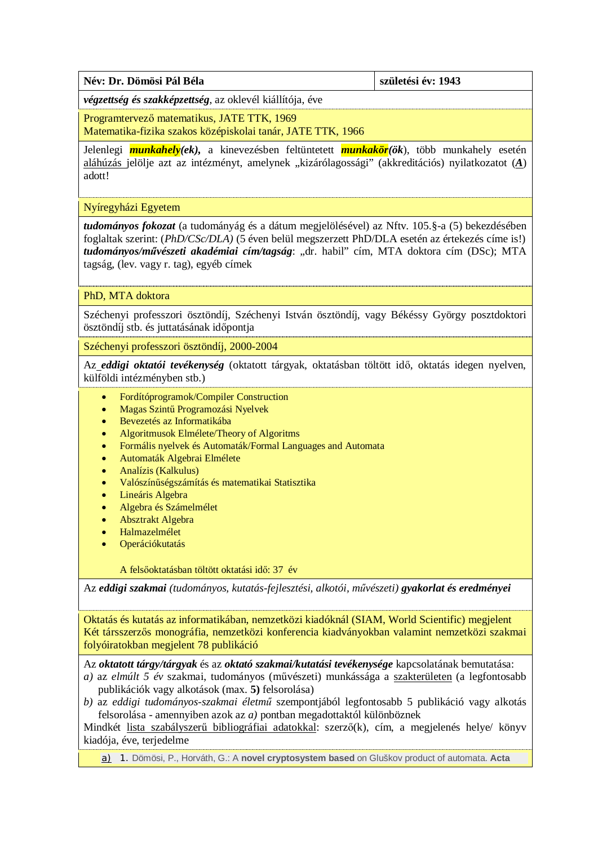| Név: Dr. Dömösi Pál Béla<br>születési év: 1943 |  |
|------------------------------------------------|--|
|------------------------------------------------|--|

*végzettség és szakképzettség*, az oklevél kiállítója, éve

Programtervező matematikus, JATE TTK, 1969

Matematika-fizika szakos középiskolai tanár, JATE TTK, 1966

Jelenlegi *munkahely(ek),* a kinevezésben feltüntetett *munkakör(ök*), több munkahely esetén aláhúzás jelölje azt az intézményt, amelynek "kizárólagossági" (akkreditációs) nyilatkozatot (A) adott!

Nyíregyházi Egyetem

*tudományos fokozat* (a tudományág és a dátum megjelölésével) az Nftv. 105.§-a (5) bekezdésében foglaltak szerint: (*PhD/CSc/DLA)* (5 éven belül megszerzett PhD/DLA esetén az értekezés címe is!) tudományos/művészeti akadémiai cím/tagság: "dr. habil" cím, MTA doktora cím (DSc); MTA tagság, (lev. vagy r. tag), egyéb címek

PhD, MTA doktora

Széchenyi professzori ösztöndíj, Széchenyi István ösztöndíj, vagy Békéssy György posztdoktori ösztöndíj stb. és juttatásának időpontja

Széchenyi professzori ösztöndíj, 2000-2004

Az *eddigi oktatói tevékenység* (oktatott tárgyak, oktatásban töltött idő, oktatás idegen nyelven, külföldi intézményben stb.)

- · Fordítóprogramok/Compiler Construction
- · Magas Szintű Programozási Nyelvek
- · Bevezetés az Informatikába
- · Algoritmusok Elmélete/Theory of Algoritms
- · Formális nyelvek és Automaták/Formal Languages and Automata
- · Automaták Algebrai Elmélete
- · Analízis (Kalkulus)
- · Valószínűségszámítás és matematikai Statisztika
- Lineáris Algebra
- · Algebra és Számelmélet
- · Absztrakt Algebra
- · Halmazelmélet
- **Operációkutatás**

A felsőoktatásban töltött oktatási idő: 37 év

Az *eddigi szakmai (tudományos, kutatás-fejlesztési, alkotói, művészeti) gyakorlat és eredményei*

Oktatás és kutatás az informatikában, nemzetközi kiadóknál (SIAM, World Scientific) megjelent Két társszerzős monográfia, nemzetközi konferencia kiadványokban valamint nemzetközi szakmai folyóiratokban megjelent 78 publikáció

Az *oktatott tárgy/tárgyak* és az *oktató szakmai/kutatási tevékenysége* kapcsolatának bemutatása:

- *a)* az *elmúlt 5 év* szakmai, tudományos (művészeti) munkássága a szakterületen (a legfontosabb publikációk vagy alkotások (max. **5)** felsorolása)
- *b)* az *eddigi tudományos-szakmai életmű* szempontjából legfontosabb 5 publikáció vagy alkotás felsorolása - amennyiben azok az *a)* pontban megadottaktól különböznek

Mindkét lista szabályszerű bibliográfiai adatokkal: szerző(k), cím, a megjelenés helye/ könyv kiadója, éve, terjedelme

a) 1. Dömösi, P., Horváth, G.: A **novel cryptosystem based** on Gluškov product of automata. **Acta**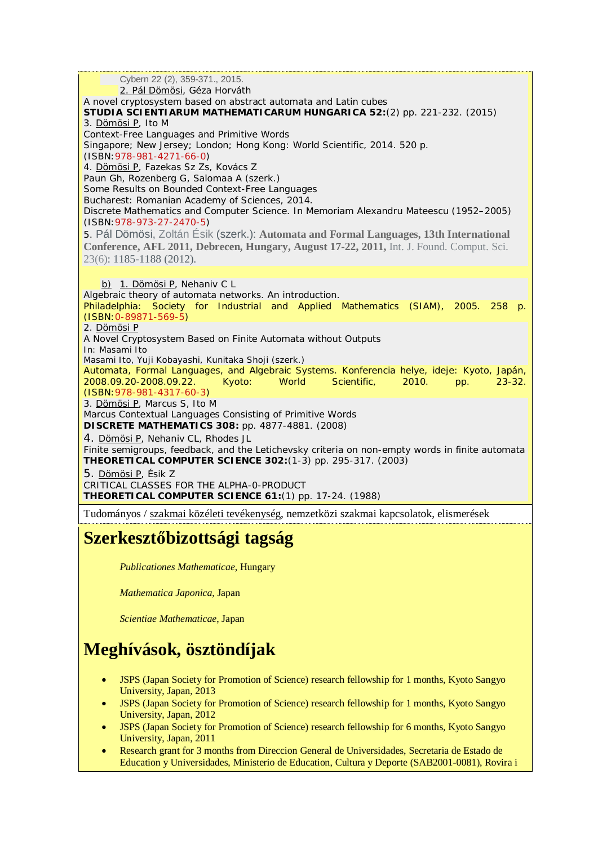Cybern 22 (2), 359-371., 2015. 2. Pál Dömösi, Géza Horváth A novel cryptosystem based on abstract automata and Latin cubes *STUDIA SCIENTIARUM MATHEMATICARUM HUNGARICA* **52:**(2) *pp. 221-232.* (2015) 3. Dömösi P, Ito M Context-Free Languages and Primitive Words Singapore; New Jersey; London; Hong Kong: World Scientific, 2014. *520 p.* (ISBN[:978-981-4271-66-0\)](http://www.isbnsearch.org/isbn/9789814271660) 4. Dömösi P, Fazekas Sz Zs, Kovács Z Paun Gh, Rozenberg G, Salomaa A (szerk.) Some Results on Bounded Context-Free Languages Bucharest: Romanian Academy of Sciences, 2014. Discrete Mathematics and Computer Science. In Memoriam Alexandru Mateescu (1952–2005) (ISBN[:978-973-27-2470-5\)](http://www.isbnsearch.org/isbn/9789732724705) 5. Pál Dömösi, [Zoltán Ésik](http://dblp.uni-trier.de/pers/hd/=/=Eacute=sik:Zolt=aacute=n) (szerk.): **Automata and Formal Languages, 13th International Conference, AFL 2011, Debrecen, Hungary, August 17-22, 2011,** [Int. J. Found. Comput. Sci.](http://dblp.uni-trier.de/db/journals/ijfcs/ijfcs23.html#DomosiE12)  23(6): 1185-1188 (2012). b) 1. Dömösi P, Nehaniv C L Algebraic theory of automata networks. An introduction. Philadelphia: Society for Industrial and Applied Mathematics (SIAM), 2005. *258 p.* (ISBN[:0-89871-569-5\)](http://www.isbnsearch.org/isbn/0898715695) 2. Dömösi P A Novel Cryptosystem Based on Finite Automata without Outputs In: Masami Ito Masami Ito, Yuji Kobayashi, Kunitaka Shoji (szerk.) Automata, Formal Languages, and Algebraic Systems. Konferencia helye, ideje: Kyoto, Japán, 2008.09.20-2008.09.22. Kyoto: World Scientific, 2010. *pp. 23-32.* (ISBN[:978-981-4317-60-3\)](http://www.isbnsearch.org/isbn/9789814317603) 3. Dömösi P, Marcus S, Ito M Marcus Contextual Languages Consisting of Primitive Words *DISCRETE MATHEMATICS* **308:** *pp. 4877-4881.* (2008) 4. Dömösi P, Nehaniv CL, Rhodes JL Finite semigroups, feedback, and the Letichevsky criteria on non-empty words in finite automata *THEORETICAL COMPUTER SCIENCE* **302:**(1-3) *pp. 295-317.* (2003) 5. Dömösi P, Ésik Z CRITICAL CLASSES FOR THE ALPHA-0-PRODUCT *THEORETICAL COMPUTER SCIENCE* **61:**(1) *pp. 17-24.* (1988) Tudományos / szakmai közéleti tevékenység, nemzetközi szakmai kapcsolatok, elismerések

## **Szerkesztőbizottsági tagság**

*Publicationes Mathematicae*, Hungary

*Mathematica Japonica*, Japan

*Scientiae Mathematicae*, Japan

## **Meghívások, ösztöndíjak**

- · JSPS (Japan Society for Promotion of Science) research fellowship for 1 months, Kyoto Sangyo University, Japan, 2013
- · JSPS (Japan Society for Promotion of Science) research fellowship for 1 months, Kyoto Sangyo University, Japan, 2012
- · JSPS (Japan Society for Promotion of Science) research fellowship for 6 months, Kyoto Sangyo University, Japan, 2011
- Research grant for 3 months from Direccion General de Universidades, Secretaria de Estado de Education y Universidades, Ministerio de Education, Cultura y Deporte (SAB2001-0081), Rovira i